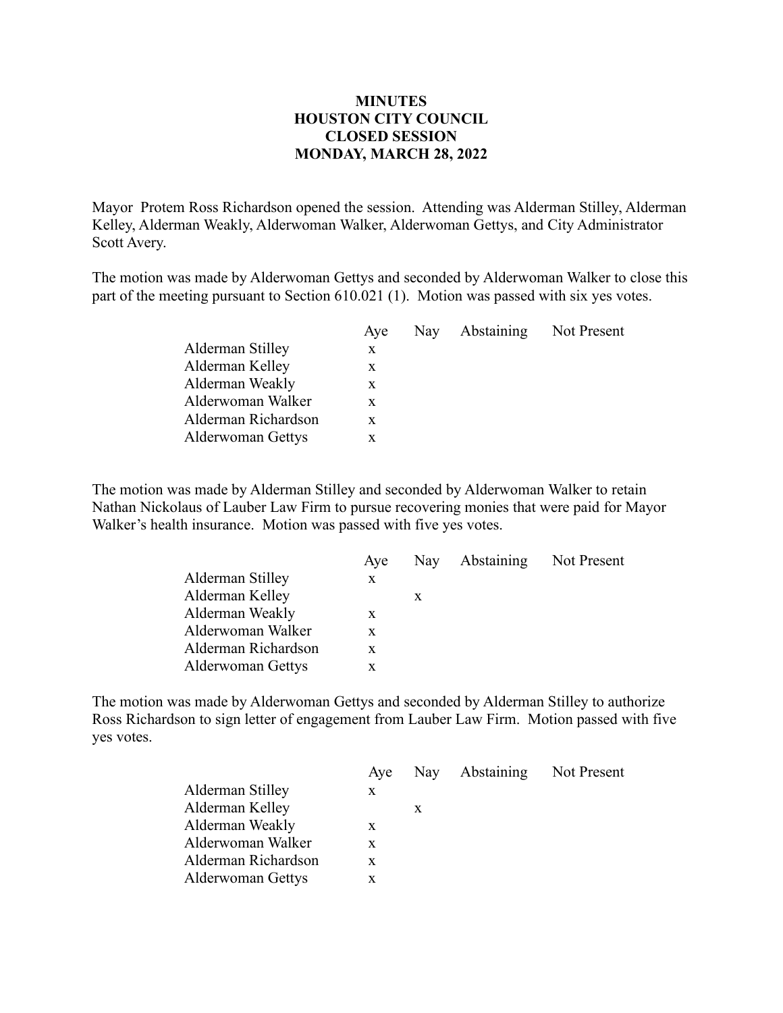## **MINUTES HOUSTON CITY COUNCIL CLOSED SESSION MONDAY, MARCH 28, 2022**

Mayor Protem Ross Richardson opened the session. Attending was Alderman Stilley, Alderman Kelley, Alderman Weakly, Alderwoman Walker, Alderwoman Gettys, and City Administrator Scott Avery.

The motion was made by Alderwoman Gettys and seconded by Alderwoman Walker to close this part of the meeting pursuant to Section 610.021 (1). Motion was passed with six yes votes.

|                     | Aye | Nay Abstaining Not Present |  |
|---------------------|-----|----------------------------|--|
| Alderman Stilley    | X   |                            |  |
| Alderman Kelley     | X   |                            |  |
| Alderman Weakly     | X   |                            |  |
| Alderwoman Walker   | X   |                            |  |
| Alderman Richardson | X   |                            |  |
| Alderwoman Gettys   |     |                            |  |
|                     |     |                            |  |

The motion was made by Alderman Stilley and seconded by Alderwoman Walker to retain Nathan Nickolaus of Lauber Law Firm to pursue recovering monies that were paid for Mayor Walker's health insurance. Motion was passed with five yes votes.

|                     | Aye |   | Nay Abstaining Not Present |  |
|---------------------|-----|---|----------------------------|--|
| Alderman Stilley    | X   |   |                            |  |
| Alderman Kelley     |     | X |                            |  |
| Alderman Weakly     | X   |   |                            |  |
| Alderwoman Walker   | X   |   |                            |  |
| Alderman Richardson | X   |   |                            |  |
| Alderwoman Gettys   | X   |   |                            |  |

The motion was made by Alderwoman Gettys and seconded by Alderman Stilley to authorize Ross Richardson to sign letter of engagement from Lauber Law Firm. Motion passed with five yes votes.

| X  |   |                                |
|----|---|--------------------------------|
|    | X |                                |
| X  |   |                                |
| X. |   |                                |
| X  |   |                                |
| x  |   |                                |
|    |   | Aye Nay Abstaining Not Present |